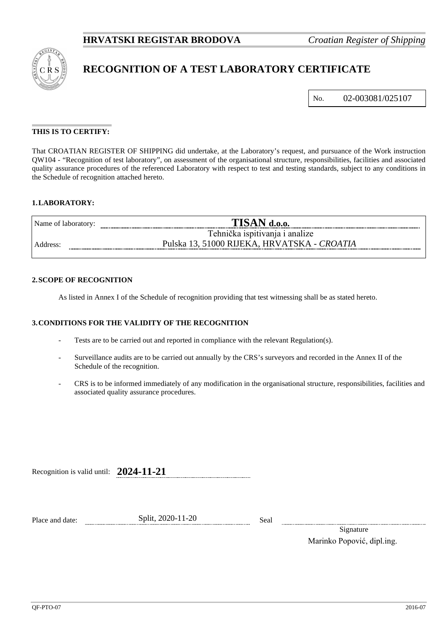

# **RECOGNITION OF A TEST LABORATORY CERTIFICATE**

No. 02-003081/025107

## **THIS IS TO CERTIFY:**

That CROATIAN REGISTER OF SHIPPING did undertake, at the Laboratory's request, and pursuance of the Work instruction QW104 - "Recognition of test laboratory", on assessment of the organisational structure, responsibilities, facilities and associated quality assurance procedures of the referenced Laboratory with respect to test and testing standards, subject to any conditions in the Schedule of recognition attached hereto.

## **1.LABORATORY:**

| Name of laboratory:  |                                             |  |  |
|----------------------|---------------------------------------------|--|--|
|                      | Tehnička ispitivanja i analize              |  |  |
| Address <sup>-</sup> | Pulska 13, 51000 RIJEKA, HRVATSKA - CROATIA |  |  |
|                      |                                             |  |  |

#### **2.SCOPE OF RECOGNITION**

As listed in Annex I of the Schedule of recognition providing that test witnessing shall be as stated hereto.

### **3.CONDITIONS FOR THE VALIDITY OF THE RECOGNITION**

- Tests are to be carried out and reported in compliance with the relevant Regulation(s).
- Surveillance audits are to be carried out annually by the CRS's surveyors and recorded in the Annex II of the Schedule of the recognition.
- CRS is to be informed immediately of any modification in the organisational structure, responsibilities, facilities and associated quality assurance procedures.

Recognition is valid until: **2024-11-21**

Place and date: Split, 2020-11-20 Seal

Signature Marinko Popović, dipl.ing.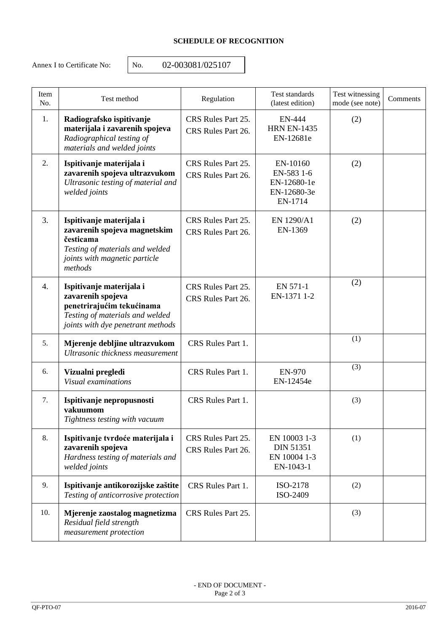# **SCHEDULE OF RECOGNITION**

Annex I to Certificate No: <br>No. 02-003081/025107

| Item<br>No. | Test method                                                                                                                                          | Regulation                               | Test standards<br>(latest edition)                              | Test witnessing<br>mode (see note) | Comments |
|-------------|------------------------------------------------------------------------------------------------------------------------------------------------------|------------------------------------------|-----------------------------------------------------------------|------------------------------------|----------|
| 1.          | Radiografsko ispitivanje<br>materijala i zavarenih spojeva<br>Radiographical testing of<br>materials and welded joints                               | CRS Rules Part 25.<br>CRS Rules Part 26. | <b>EN-444</b><br><b>HRN EN-1435</b><br>EN-12681e                | (2)                                |          |
| 2.          | Ispitivanje materijala i<br>zavarenih spojeva ultrazvukom<br>Ultrasonic testing of material and<br>welded joints                                     | CRS Rules Part 25.<br>CRS Rules Part 26. | EN-10160<br>EN-583 1-6<br>EN-12680-1e<br>EN-12680-3e<br>EN-1714 | (2)                                |          |
| 3.          | Ispitivanje materijala i<br>zavarenih spojeva magnetskim<br>česticama<br>Testing of materials and welded<br>joints with magnetic particle<br>methods | CRS Rules Part 25.<br>CRS Rules Part 26. | EN 1290/A1<br>EN-1369                                           | (2)                                |          |
| 4.          | Ispitivanje materijala i<br>zavarenih spojeva<br>penetrirajućim tekućinama<br>Testing of materials and welded<br>joints with dye penetrant methods   | CRS Rules Part 25.<br>CRS Rules Part 26. | EN 571-1<br>EN-1371 1-2                                         | (2)                                |          |
| 5.          | Mjerenje debljine ultrazvukom<br>Ultrasonic thickness measurement                                                                                    | CRS Rules Part 1.                        |                                                                 | (1)                                |          |
| 6.          | Vizualni pregledi<br>Visual examinations                                                                                                             | CRS Rules Part 1.                        | <b>EN-970</b><br>EN-12454e                                      | (3)                                |          |
| 7.          | Ispitivanje nepropusnosti<br>vakuumom<br>Tightness testing with vacuum                                                                               | CRS Rules Part 1.                        |                                                                 | (3)                                |          |
| 8.          | Ispitivanje tvrdoće materijala i<br>zavarenih spojeva<br>Hardness testing of materials and<br>welded joints                                          | CRS Rules Part 25.<br>CRS Rules Part 26. | EN 10003 1-3<br><b>DIN 51351</b><br>EN 10004 1-3<br>EN-1043-1   | (1)                                |          |
| 9.          | Ispitivanje antikorozijske zaštite<br>Testing of anticorrosive protection                                                                            | CRS Rules Part 1.                        | ISO-2178<br>ISO-2409                                            | (2)                                |          |
| 10.         | Mjerenje zaostalog magnetizma<br>Residual field strength<br>measurement protection                                                                   | CRS Rules Part 25.                       |                                                                 | (3)                                |          |